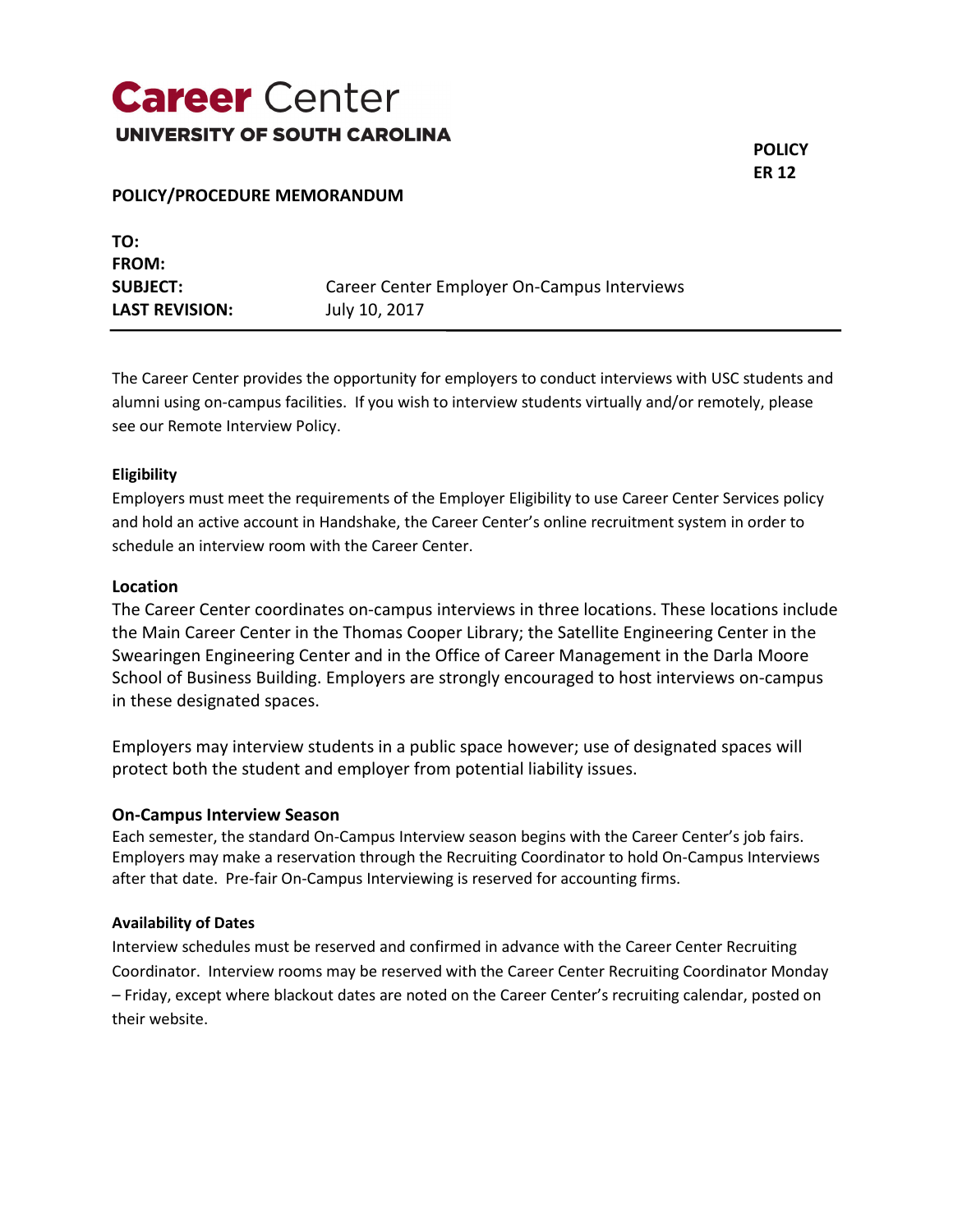## **Career** Center **UNIVERSITY OF SOUTH CAROLINA**

**POLICY ER 12**

## **POLICY/PROCEDURE MEMORANDUM**

| TO:                   |                                             |
|-----------------------|---------------------------------------------|
| <b>FROM:</b>          |                                             |
| <b>SUBJECT:</b>       | Career Center Employer On-Campus Interviews |
| <b>LAST REVISION:</b> | July 10, 2017                               |

The Career Center provides the opportunity for employers to conduct interviews with USC students and alumni using on-campus facilities. If you wish to interview students virtually and/or remotely, please see our Remote Interview Policy.

#### **Eligibility**

Employers must meet the requirements of the Employer Eligibility to use Career Center Services policy and hold an active account in Handshake, the Career Center's online recruitment system in order to schedule an interview room with the Career Center.

### **Location**

The Career Center coordinates on-campus interviews in three locations. These locations include the Main Career Center in the Thomas Cooper Library; the Satellite Engineering Center in the Swearingen Engineering Center and in the Office of Career Management in the Darla Moore School of Business Building. Employers are strongly encouraged to host interviews on-campus in these designated spaces.

Employers may interview students in a public space however; use of designated spaces will protect both the student and employer from potential liability issues.

#### **On-Campus Interview Season**

Each semester, the standard On-Campus Interview season begins with the Career Center's job fairs. Employers may make a reservation through the Recruiting Coordinator to hold On-Campus Interviews after that date. Pre-fair On-Campus Interviewing is reserved for accounting firms.

#### **Availability of Dates**

Interview schedules must be reserved and confirmed in advance with the Career Center Recruiting Coordinator. Interview rooms may be reserved with the Career Center Recruiting Coordinator Monday – Friday, except where blackout dates are noted on the Career Center's recruiting calendar, posted on their website.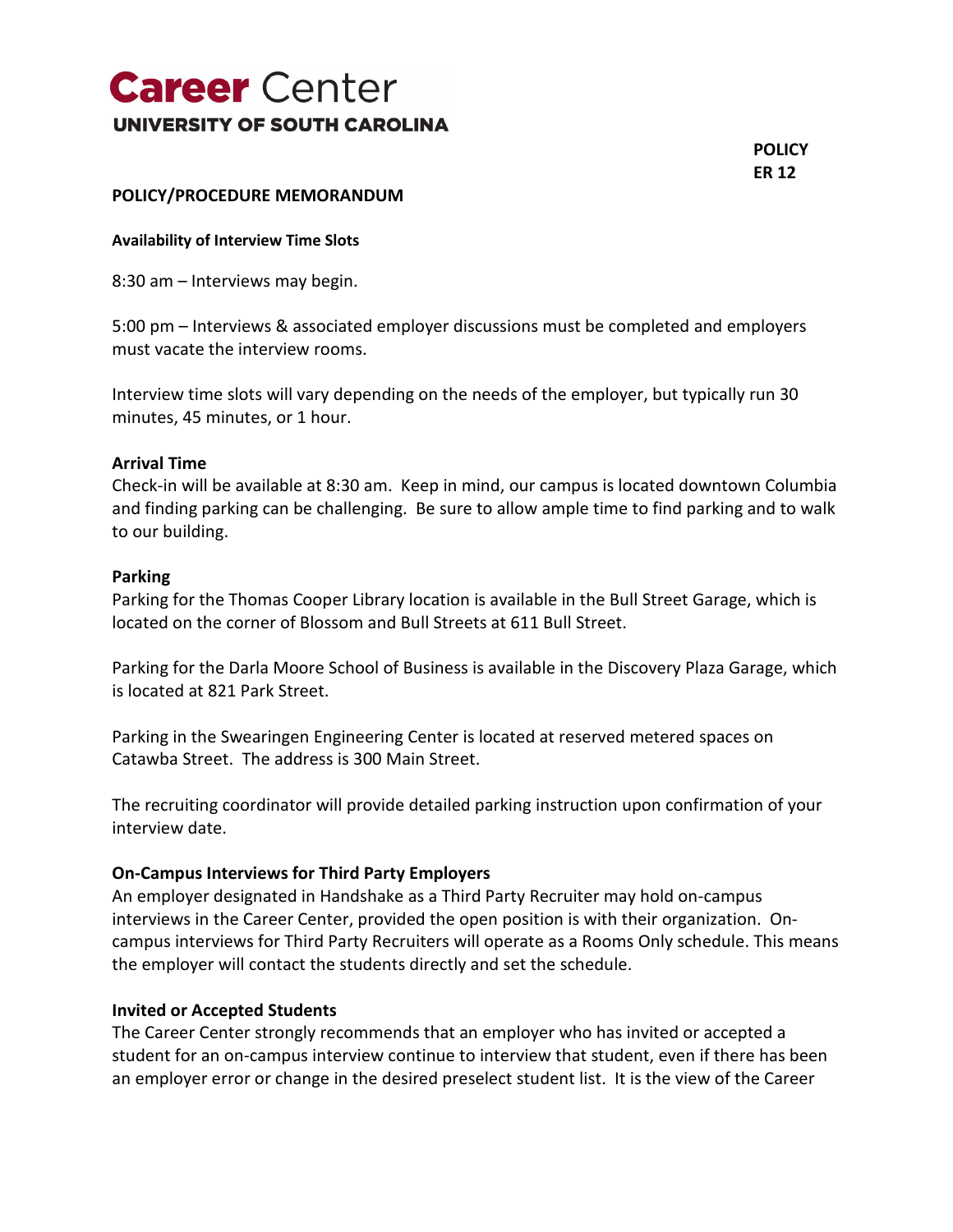# **Career** Center **UNIVERSITY OF SOUTH CAROLINA**

**POLICY ER 12**

## **POLICY/PROCEDURE MEMORANDUM**

**Availability of Interview Time Slots**

8:30 am – Interviews may begin.

5:00 pm – Interviews & associated employer discussions must be completed and employers must vacate the interview rooms.

Interview time slots will vary depending on the needs of the employer, but typically run 30 minutes, 45 minutes, or 1 hour.

### **Arrival Time**

Check-in will be available at 8:30 am. Keep in mind, our campus is located downtown Columbia and finding parking can be challenging. Be sure to allow ample time to find parking and to walk to our building.

#### **Parking**

Parking for the Thomas Cooper Library location is available in the Bull Street Garage, which is located on the corner of Blossom and Bull Streets at 611 Bull Street.

Parking for the Darla Moore School of Business is available in the Discovery Plaza Garage, which is located at 821 Park Street.

Parking in the Swearingen Engineering Center is located at reserved metered spaces on Catawba Street. The address is 300 Main Street.

The recruiting coordinator will provide detailed parking instruction upon confirmation of your interview date.

### **On-Campus Interviews for Third Party Employers**

An employer designated in Handshake as a Third Party Recruiter may hold on-campus interviews in the Career Center, provided the open position is with their organization. Oncampus interviews for Third Party Recruiters will operate as a Rooms Only schedule. This means the employer will contact the students directly and set the schedule.

### **Invited or Accepted Students**

The Career Center strongly recommends that an employer who has invited or accepted a student for an on-campus interview continue to interview that student, even if there has been an employer error or change in the desired preselect student list. It is the view of the Career